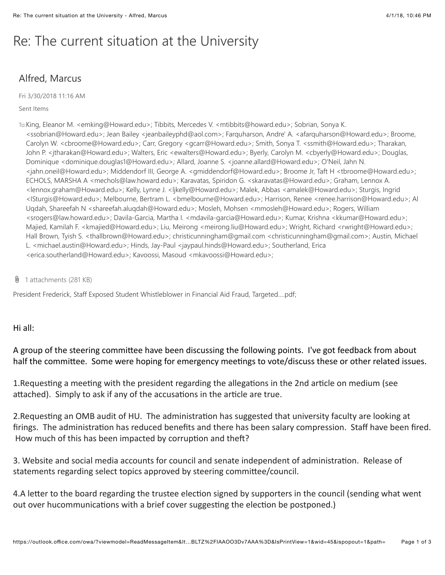# Re: The current situation at the University

## Alfred, Marcus

Fri 3/30/2018 11:16 AM

#### Sent Items

To:King, Eleanor M. <emking@Howard.edu>; Tibbits, Mercedes V. <mtibbits@howard.edu>; Sobrian, Sonya K. <ssobrian@Howard.edu>; Jean Bailey <jeanbaileyphd@aol.com>; Farquharson, Andre' A. <afarquharson@Howard.edu>; Broome, Carolyn W. <cbroome@Howard.edu>; Carr, Gregory <gcarr@Howard.edu>; Smith, Sonya T. <ssmith@Howard.edu>; Tharakan, John P. <jtharakan@Howard.edu>; Walters, Eric <ewalters@Howard.edu>; Byerly, Carolyn M. <cbyerly@Howard.edu>; Douglas, Dominique <dominique.douglas1@Howard.edu>; Allard, Joanne S. <joanne.allard@Howard.edu>; O'Neil, Jahn N. <jahn.oneil@Howard.edu>; Middendorf III, George A. <gmiddendorf@Howard.edu>; Broome Jr, Taft H <tbroome@Howard.edu>; ECHOLS, MARSHA A <mechols@law.howard.edu>; Karavatas, Spiridon G. <skaravatas@Howard.edu>; Graham, Lennox A. <lennox.graham@Howard.edu>; Kelly, Lynne J. <ljkelly@Howard.edu>; Malek, Abbas <amalek@Howard.edu>; Sturgis, Ingrid <ISturgis@Howard.edu>; Melbourne, Bertram L. <bmelbourne@Howard.edu>; Harrison, Renee <renee.harrison@Howard.edu>; Al Uqdah, Shareefah N <shareefah.aluqdah@Howard.edu>; Mosleh, Mohsen <mmosleh@Howard.edu>; Rogers, William <srogers@law.howard.edu>; Davila-Garcia, Martha I. <mdavila-garcia@Howard.edu>; Kumar, Krishna <kkumar@Howard.edu>; Majied, Kamilah F. <kmajied@Howard.edu>; Liu, Meirong <meirong.liu@Howard.edu>; Wright, Richard <rwright@Howard.edu>; Hall Brown, Tyish S. <thallbrown@Howard.edu>; christicunningham@gmail.com <christicunningham@gmail.com>; Austin, Michael L. <michael.austin@Howard.edu>; Hinds, Jay-Paul <jaypaul.hinds@Howard.edu>; Southerland, Erica <erica.southerland@Howard.edu>; Kavoossi, Masoud <mkavoossi@Howard.edu>;

 $\theta$  1 attachments (281 KB)

President Frederick, Staff Exposed Student Whistleblower in Financial Aid Fraud, Targeted….pdf;

### Hi $all:$

A group of the steering committee have been discussing the following points. I've got feedback from about half the committee. Some were hoping for emergency meetings to vote/discuss these or other related issues.

1. Requesting a meeting with the president regarding the allegations in the 2nd article on medium (see attached). Simply to ask if any of the accusations in the article are true.

2. Requesting an OMB audit of HU. The administration has suggested that university faculty are looking at firings. The administration has reduced benefits and there has been salary compression. Staff have been fired. How much of this has been impacted by corruption and theft?

3. Website and social media accounts for council and senate independent of administration. Release of statements regarding select topics approved by steering committee/council.

4.A letter to the board regarding the trustee election signed by supporters in the council (sending what went out over hucommunications with a brief cover suggesting the election be postponed.)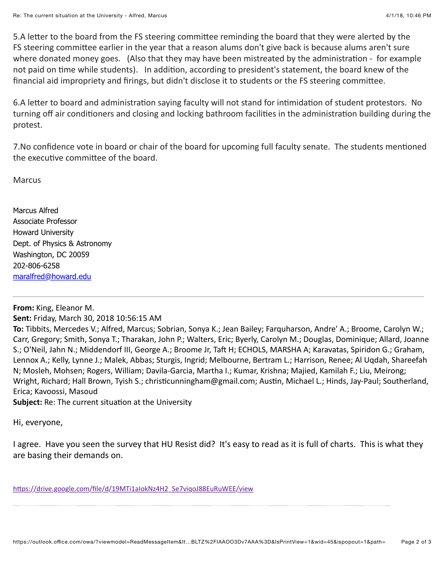5.A letter to the board from the FS steering committee reminding the board that they were alerted by the FS steering committee earlier in the year that a reason alums don't give back is because alums aren't sure where donated money goes. (Also that they may have been mistreated by the administration - for example not paid on time while students). In addition, according to president's statement, the board knew of the financial aid impropriety and firings, but didn't disclose it to students or the FS steering committee.

6.A letter to board and administration saying faculty will not stand for intimidation of student protestors. No turning off air conditioners and closing and locking bathroom facilities in the administration building during the protest.

7.No confidence vote in board or chair of the board for upcoming full faculty senate. The students mentioned the executive committee of the board.

**Marcus** 

Marcus Alfred Associate Professor Howard University Dept. of Physics & Astronomy Washington, DC 20059 202-806-6258 [maralfred@howard.edu](mailto:maralfred@howard.edu)

## **From:** King, Eleanor M.

### **Sent:** Friday, March 30, 2018 10:56:15 AM

**To:** Tibbits, Mercedes V.; Alfred, Marcus; Sobrian, Sonya K.; Jean Bailey; Farquharson, Andre' A.; Broome, Carolyn W.; Carr, Gregory; Smith, Sonya T.; Tharakan, John P.; Walters, Eric; Byerly, Carolyn M.; Douglas, Dominique; Allard, Joanne S.; O'Neil, Jahn N.; Middendorf III, George A.; Broome Jr, Taft H; ECHOLS, MARSHA A; Karavatas, Spiridon G.; Graham, Lennox A.; Kelly, Lynne J.; Malek, Abbas; Sturgis, Ingrid; Melbourne, Bertram L.; Harrison, Renee; Al Uqdah, Shareefah N; Mosleh, Mohsen; Rogers, William; Davila-Garcia, Martha I.; Kumar, Krishna; Majied, Kamilah F.; Liu, Meirong; Wright, Richard; Hall Brown, Tyish S.; christicunningham@gmail.com; Austin, Michael L.; Hinds, Jay-Paul; Southerland, Erica; Kavoossi, Masoud

**Subject:** Re: The current situation at the University

Hi, everyone,

I agree. Have you seen the survey that HU Resist did? It's easy to read as it is full of charts. This is what they are basing their demands on.

https://drive.google.com/file/d/19MTi1aIokNz4H2\_Se7viqoJ88EuRuWEE/view